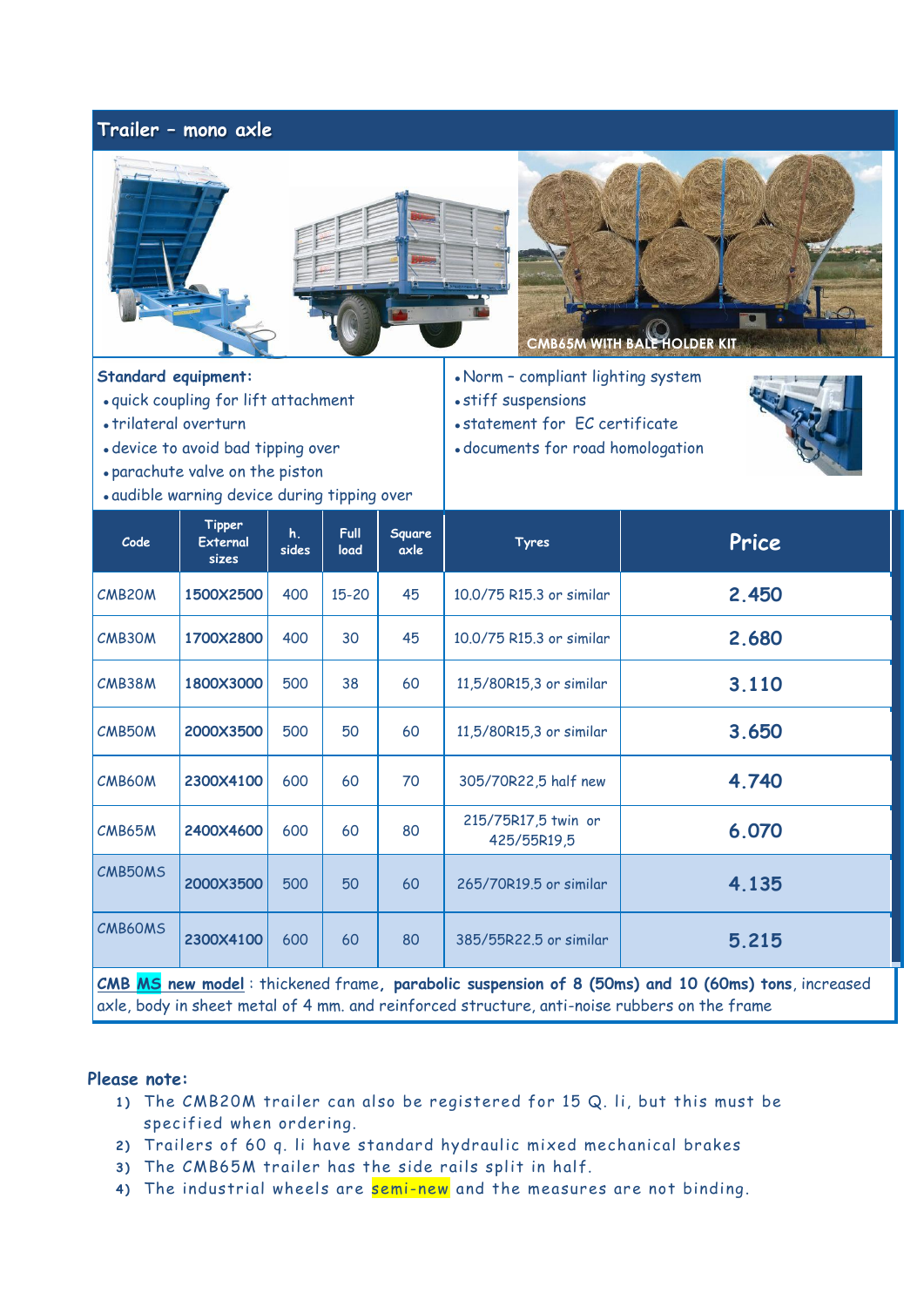## **Trailer – mono axle**





**Standard equipment:**

- ⚫ quick coupling for lift attachment
- ⚫ trilateral overturn
- ⚫ device to avoid bad tipping over
- ⚫ parachute valve on the piston
- ⚫ audible warning device during tipping over

⚫ Norm – compliant lighting system

⚫ statement for EC certificate ⚫ documents for road homologation

⚫ stiff suspensions



| Code                                                                                              | <b>Tipper</b><br>External<br>sizes | $h_{\cdot}$<br>sides | <b>Full</b><br>load | <b>Square</b><br>axle | <b>Tyres</b>                       | Price |  |  |  |  |
|---------------------------------------------------------------------------------------------------|------------------------------------|----------------------|---------------------|-----------------------|------------------------------------|-------|--|--|--|--|
| <b>CMB20M</b>                                                                                     | 1500X2500                          | 400                  | $15 - 20$           | 45                    | 10.0/75 R15.3 or similar           | 2.450 |  |  |  |  |
| CMB30M                                                                                            | 1700X2800                          | 400                  | 30                  | 45                    | 10.0/75 R15.3 or similar           | 2.680 |  |  |  |  |
| CMB38M                                                                                            | 1800X3000                          | 500                  | 38                  | 60                    | 11,5/80R15,3 or similar            | 3.110 |  |  |  |  |
| CMB50M                                                                                            | 2000X3500                          | 500                  | 50                  | 60                    | 11,5/80R15,3 or similar            | 3.650 |  |  |  |  |
| CMB60M                                                                                            | 2300X4100                          | 600                  | 60                  | 70                    | 305/70R22,5 half new               | 4.740 |  |  |  |  |
| CMB65M                                                                                            | 2400X4600                          | 600                  | 60                  | 80                    | 215/75R17,5 twin or<br>425/55R19,5 | 6.070 |  |  |  |  |
| CMB50MS                                                                                           | 2000X3500                          | 500                  | 50                  | 60                    | 265/70R19.5 or similar             | 4.135 |  |  |  |  |
| CMB60MS                                                                                           | 2300X4100                          | 600                  | 60                  | 80                    | 385/55R22.5 or similar             | 5.215 |  |  |  |  |
| CMB MS new model: thickened frame, parabolic suspension of 8 (50ms) and 10 (60ms) tons, increased |                                    |                      |                     |                       |                                    |       |  |  |  |  |

axle, body in sheet metal of 4 mm. and reinforced structure, anti-noise rubbers on the frame

## **Please note:**

- **1 )** The CMB20M trailer can also be registered for 15 Q. li, but this must be specified when ordering.
- **2 )** Trailers of 60 q. li have standard hydraulic mixed mechanical brakes
- **3 )** The CMB65M trailer has the side rails split in half.
- 4) The industrial wheels are semi-new and the measures are not binding.